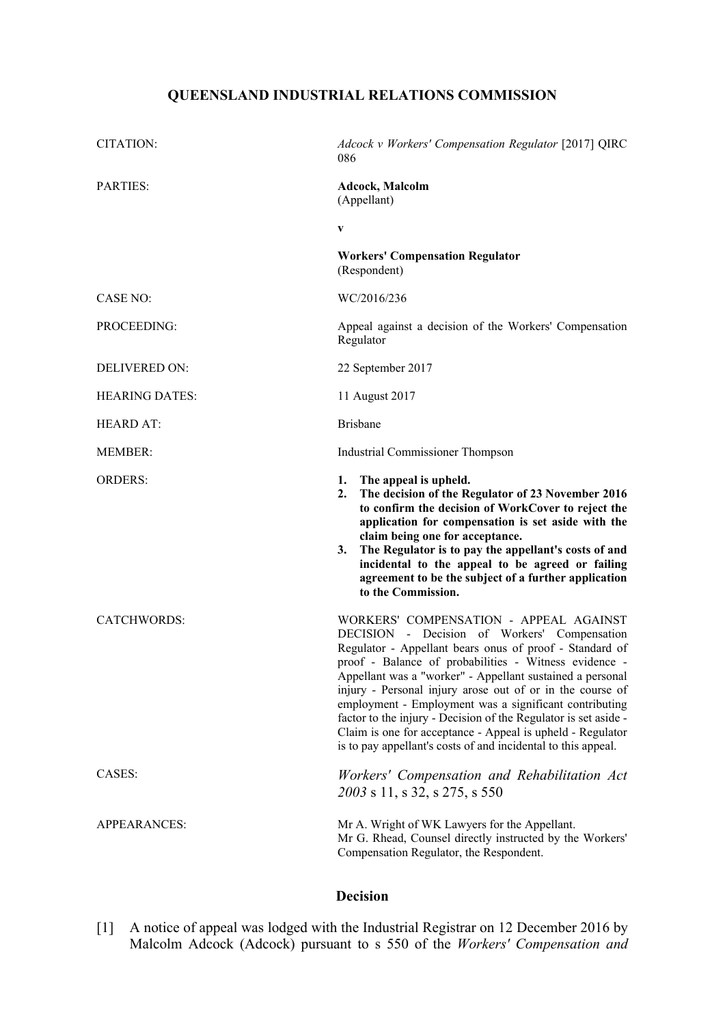# **QUEENSLAND INDUSTRIAL RELATIONS COMMISSION**

| CITATION:             | Adcock v Workers' Compensation Regulator [2017] QIRC<br>086                                                                                                                                                                                                                                                                                                                                                                                                                                                                                                                                      |
|-----------------------|--------------------------------------------------------------------------------------------------------------------------------------------------------------------------------------------------------------------------------------------------------------------------------------------------------------------------------------------------------------------------------------------------------------------------------------------------------------------------------------------------------------------------------------------------------------------------------------------------|
| <b>PARTIES:</b>       | <b>Adcock, Malcolm</b><br>(Appellant)                                                                                                                                                                                                                                                                                                                                                                                                                                                                                                                                                            |
|                       | V                                                                                                                                                                                                                                                                                                                                                                                                                                                                                                                                                                                                |
|                       | <b>Workers' Compensation Regulator</b><br>(Respondent)                                                                                                                                                                                                                                                                                                                                                                                                                                                                                                                                           |
| CASE NO:              | WC/2016/236                                                                                                                                                                                                                                                                                                                                                                                                                                                                                                                                                                                      |
| PROCEEDING:           | Appeal against a decision of the Workers' Compensation<br>Regulator                                                                                                                                                                                                                                                                                                                                                                                                                                                                                                                              |
| <b>DELIVERED ON:</b>  | 22 September 2017                                                                                                                                                                                                                                                                                                                                                                                                                                                                                                                                                                                |
| <b>HEARING DATES:</b> | 11 August 2017                                                                                                                                                                                                                                                                                                                                                                                                                                                                                                                                                                                   |
| <b>HEARD AT:</b>      | <b>Brisbane</b>                                                                                                                                                                                                                                                                                                                                                                                                                                                                                                                                                                                  |
| <b>MEMBER:</b>        | Industrial Commissioner Thompson                                                                                                                                                                                                                                                                                                                                                                                                                                                                                                                                                                 |
| <b>ORDERS:</b>        | 1. The appeal is upheld.<br>The decision of the Regulator of 23 November 2016<br>2.<br>to confirm the decision of WorkCover to reject the<br>application for compensation is set aside with the<br>claim being one for acceptance.<br>The Regulator is to pay the appellant's costs of and<br>3.<br>incidental to the appeal to be agreed or failing<br>agreement to be the subject of a further application<br>to the Commission.                                                                                                                                                               |
| <b>CATCHWORDS:</b>    | WORKERS' COMPENSATION - APPEAL AGAINST<br>DECISION - Decision of Workers' Compensation<br>Regulator - Appellant bears onus of proof - Standard of<br>proof - Balance of probabilities - Witness evidence -<br>Appellant was a "worker" - Appellant sustained a personal<br>injury - Personal injury arose out of or in the course of<br>employment - Employment was a significant contributing<br>factor to the injury - Decision of the Regulator is set aside -<br>Claim is one for acceptance - Appeal is upheld - Regulator<br>is to pay appellant's costs of and incidental to this appeal. |
| CASES:                | Workers' Compensation and Rehabilitation Act<br>2003 s 11, s 32, s 275, s 550                                                                                                                                                                                                                                                                                                                                                                                                                                                                                                                    |
| <b>APPEARANCES:</b>   | Mr A. Wright of WK Lawyers for the Appellant.<br>Mr G. Rhead, Counsel directly instructed by the Workers'<br>Compensation Regulator, the Respondent.                                                                                                                                                                                                                                                                                                                                                                                                                                             |

# **Decision**

[1] A notice of appeal was lodged with the Industrial Registrar on 12 December 2016 by Malcolm Adcock (Adcock) pursuant to s 550 of the *Workers' Compensation and*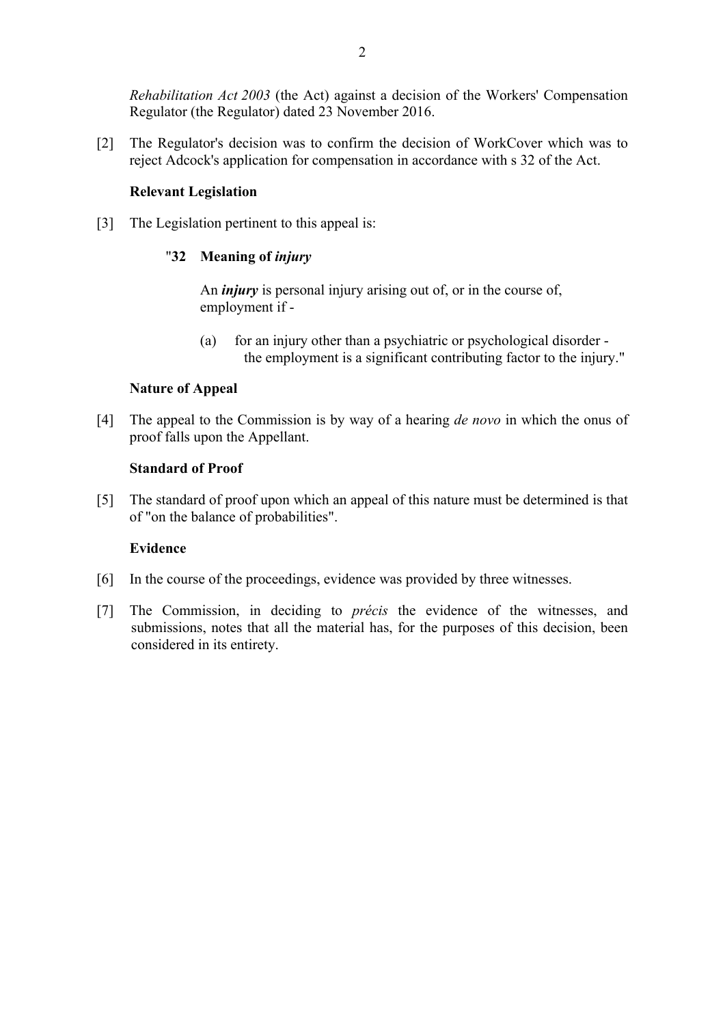*Rehabilitation Act 2003* (the Act) against a decision of the Workers' Compensation Regulator (the Regulator) dated 23 November 2016.

[2] The Regulator's decision was to confirm the decision of WorkCover which was to reject Adcock's application for compensation in accordance with s 32 of the Act.

#### **Relevant Legislation**

[3] The Legislation pertinent to this appeal is:

# "**32 Meaning of** *injury*

An *injury* is personal injury arising out of, or in the course of, employment if -

(a) for an injury other than a psychiatric or psychological disorder the employment is a significant contributing factor to the injury."

## **Nature of Appeal**

[4] The appeal to the Commission is by way of a hearing *de novo* in which the onus of proof falls upon the Appellant.

#### **Standard of Proof**

[5] The standard of proof upon which an appeal of this nature must be determined is that of "on the balance of probabilities".

# **Evidence**

- [6] In the course of the proceedings, evidence was provided by three witnesses.
- [7] The Commission, in deciding to *précis* the evidence of the witnesses, and submissions, notes that all the material has, for the purposes of this decision, been considered in its entirety.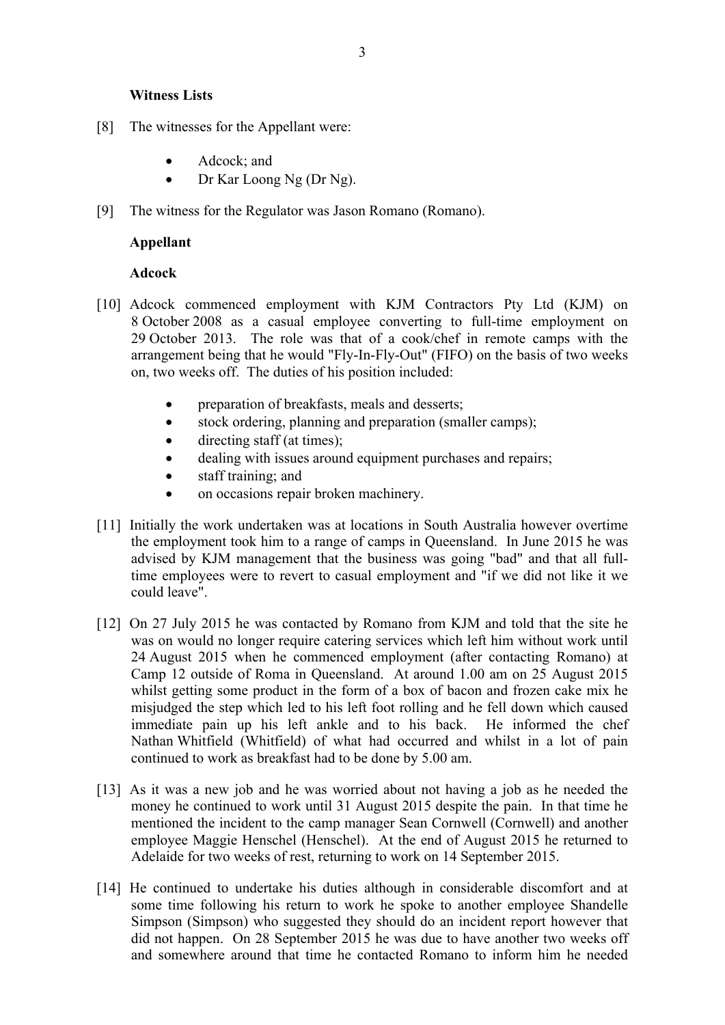- [8] The witnesses for the Appellant were:
	- Adcock; and
	- Dr Kar Loong Ng (Dr Ng).
- [9] The witness for the Regulator was Jason Romano (Romano).

#### **Appellant**

## **Adcock**

- [10] Adcock commenced employment with KJM Contractors Pty Ltd (KJM) on 8 October 2008 as a casual employee converting to full-time employment on 29 October 2013. The role was that of a cook/chef in remote camps with the arrangement being that he would "Fly-In-Fly-Out" (FIFO) on the basis of two weeks on, two weeks off. The duties of his position included:
	- preparation of breakfasts, meals and desserts;
	- stock ordering, planning and preparation (smaller camps);
	- $\bullet$  directing staff (at times);
	- dealing with issues around equipment purchases and repairs;
	- staff training; and
	- on occasions repair broken machinery.
- [11] Initially the work undertaken was at locations in South Australia however overtime the employment took him to a range of camps in Queensland. In June 2015 he was advised by KJM management that the business was going "bad" and that all fulltime employees were to revert to casual employment and "if we did not like it we could leave".
- [12] On 27 July 2015 he was contacted by Romano from KJM and told that the site he was on would no longer require catering services which left him without work until 24 August 2015 when he commenced employment (after contacting Romano) at Camp 12 outside of Roma in Queensland. At around 1.00 am on 25 August 2015 whilst getting some product in the form of a box of bacon and frozen cake mix he misjudged the step which led to his left foot rolling and he fell down which caused immediate pain up his left ankle and to his back. He informed the chef Nathan Whitfield (Whitfield) of what had occurred and whilst in a lot of pain continued to work as breakfast had to be done by 5.00 am.
- [13] As it was a new job and he was worried about not having a job as he needed the money he continued to work until 31 August 2015 despite the pain. In that time he mentioned the incident to the camp manager Sean Cornwell (Cornwell) and another employee Maggie Henschel (Henschel). At the end of August 2015 he returned to Adelaide for two weeks of rest, returning to work on 14 September 2015.
- [14] He continued to undertake his duties although in considerable discomfort and at some time following his return to work he spoke to another employee Shandelle Simpson (Simpson) who suggested they should do an incident report however that did not happen. On 28 September 2015 he was due to have another two weeks off and somewhere around that time he contacted Romano to inform him he needed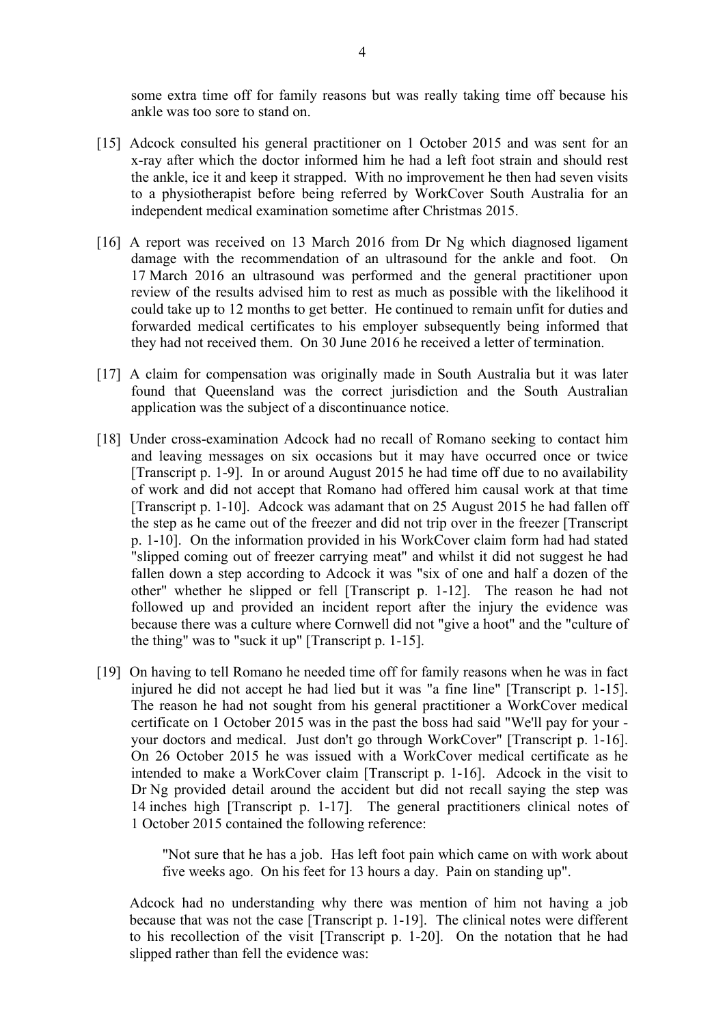some extra time off for family reasons but was really taking time off because his ankle was too sore to stand on.

- [15] Adcock consulted his general practitioner on 1 October 2015 and was sent for an x-ray after which the doctor informed him he had a left foot strain and should rest the ankle, ice it and keep it strapped. With no improvement he then had seven visits to a physiotherapist before being referred by WorkCover South Australia for an independent medical examination sometime after Christmas 2015.
- [16] A report was received on 13 March 2016 from Dr Ng which diagnosed ligament damage with the recommendation of an ultrasound for the ankle and foot. On 17 March 2016 an ultrasound was performed and the general practitioner upon review of the results advised him to rest as much as possible with the likelihood it could take up to 12 months to get better. He continued to remain unfit for duties and forwarded medical certificates to his employer subsequently being informed that they had not received them. On 30 June 2016 he received a letter of termination.
- [17] A claim for compensation was originally made in South Australia but it was later found that Queensland was the correct jurisdiction and the South Australian application was the subject of a discontinuance notice.
- [18] Under cross-examination Adcock had no recall of Romano seeking to contact him and leaving messages on six occasions but it may have occurred once or twice [Transcript p. 1-9]. In or around August 2015 he had time off due to no availability of work and did not accept that Romano had offered him causal work at that time [Transcript p. 1-10]. Adcock was adamant that on 25 August 2015 he had fallen off the step as he came out of the freezer and did not trip over in the freezer [Transcript p. 1-10]. On the information provided in his WorkCover claim form had had stated "slipped coming out of freezer carrying meat" and whilst it did not suggest he had fallen down a step according to Adcock it was "six of one and half a dozen of the other" whether he slipped or fell [Transcript p. 1-12]. The reason he had not followed up and provided an incident report after the injury the evidence was because there was a culture where Cornwell did not "give a hoot" and the "culture of the thing" was to "suck it up" [Transcript p. 1-15].
- [19] On having to tell Romano he needed time off for family reasons when he was in fact injured he did not accept he had lied but it was "a fine line" [Transcript p. 1-15]. The reason he had not sought from his general practitioner a WorkCover medical certificate on 1 October 2015 was in the past the boss had said "We'll pay for your your doctors and medical. Just don't go through WorkCover" [Transcript p. 1-16]. On 26 October 2015 he was issued with a WorkCover medical certificate as he intended to make a WorkCover claim [Transcript p. 1-16]. Adcock in the visit to Dr Ng provided detail around the accident but did not recall saying the step was 14 inches high [Transcript p. 1-17]. The general practitioners clinical notes of 1 October 2015 contained the following reference:

"Not sure that he has a job. Has left foot pain which came on with work about five weeks ago. On his feet for 13 hours a day. Pain on standing up".

Adcock had no understanding why there was mention of him not having a job because that was not the case [Transcript p. 1-19]. The clinical notes were different to his recollection of the visit [Transcript p. 1-20]. On the notation that he had slipped rather than fell the evidence was: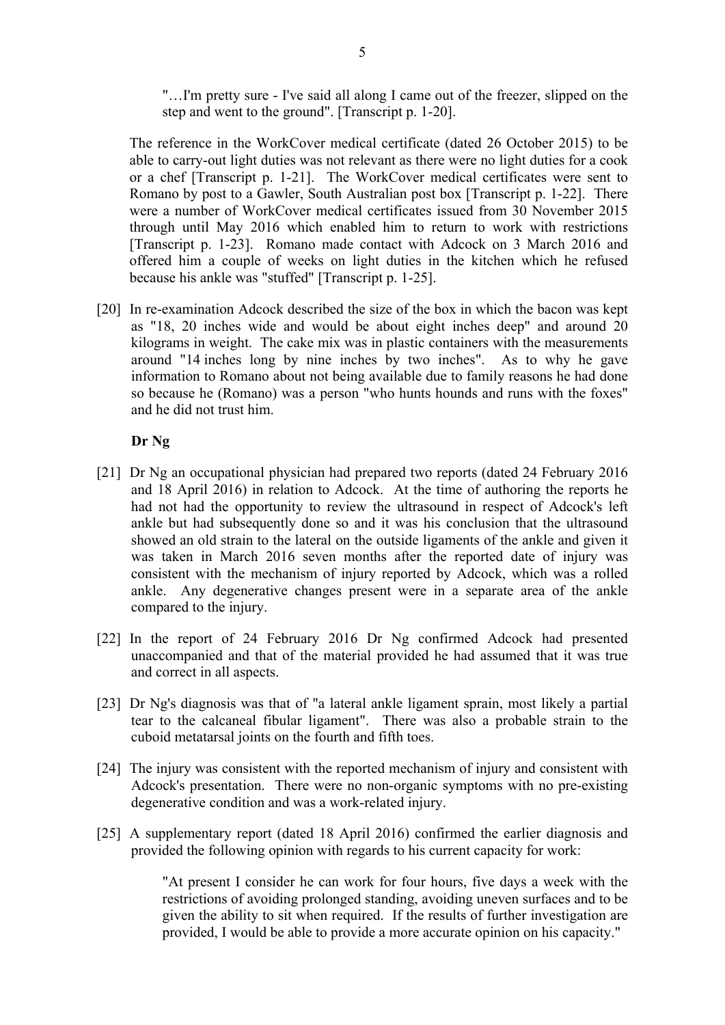"…I'm pretty sure - I've said all along I came out of the freezer, slipped on the step and went to the ground". [Transcript p. 1-20].

The reference in the WorkCover medical certificate (dated 26 October 2015) to be able to carry-out light duties was not relevant as there were no light duties for a cook or a chef [Transcript p. 1-21]. The WorkCover medical certificates were sent to Romano by post to a Gawler, South Australian post box [Transcript p. 1-22]. There were a number of WorkCover medical certificates issued from 30 November 2015 through until May 2016 which enabled him to return to work with restrictions [Transcript p. 1-23]. Romano made contact with Adcock on 3 March 2016 and offered him a couple of weeks on light duties in the kitchen which he refused because his ankle was "stuffed" [Transcript p. 1-25].

[20] In re-examination Adcock described the size of the box in which the bacon was kept as "18, 20 inches wide and would be about eight inches deep" and around 20 kilograms in weight. The cake mix was in plastic containers with the measurements around "14 inches long by nine inches by two inches". As to why he gave information to Romano about not being available due to family reasons he had done so because he (Romano) was a person "who hunts hounds and runs with the foxes" and he did not trust him.

#### **Dr Ng**

- [21] Dr Ng an occupational physician had prepared two reports (dated 24 February 2016 and 18 April 2016) in relation to Adcock. At the time of authoring the reports he had not had the opportunity to review the ultrasound in respect of Adcock's left ankle but had subsequently done so and it was his conclusion that the ultrasound showed an old strain to the lateral on the outside ligaments of the ankle and given it was taken in March 2016 seven months after the reported date of injury was consistent with the mechanism of injury reported by Adcock, which was a rolled ankle. Any degenerative changes present were in a separate area of the ankle compared to the injury.
- [22] In the report of 24 February 2016 Dr Ng confirmed Adcock had presented unaccompanied and that of the material provided he had assumed that it was true and correct in all aspects.
- [23] Dr Ng's diagnosis was that of "a lateral ankle ligament sprain, most likely a partial tear to the calcaneal fibular ligament". There was also a probable strain to the cuboid metatarsal joints on the fourth and fifth toes.
- [24] The injury was consistent with the reported mechanism of injury and consistent with Adcock's presentation. There were no non-organic symptoms with no pre-existing degenerative condition and was a work-related injury.
- [25] A supplementary report (dated 18 April 2016) confirmed the earlier diagnosis and provided the following opinion with regards to his current capacity for work:

"At present I consider he can work for four hours, five days a week with the restrictions of avoiding prolonged standing, avoiding uneven surfaces and to be given the ability to sit when required. If the results of further investigation are provided, I would be able to provide a more accurate opinion on his capacity."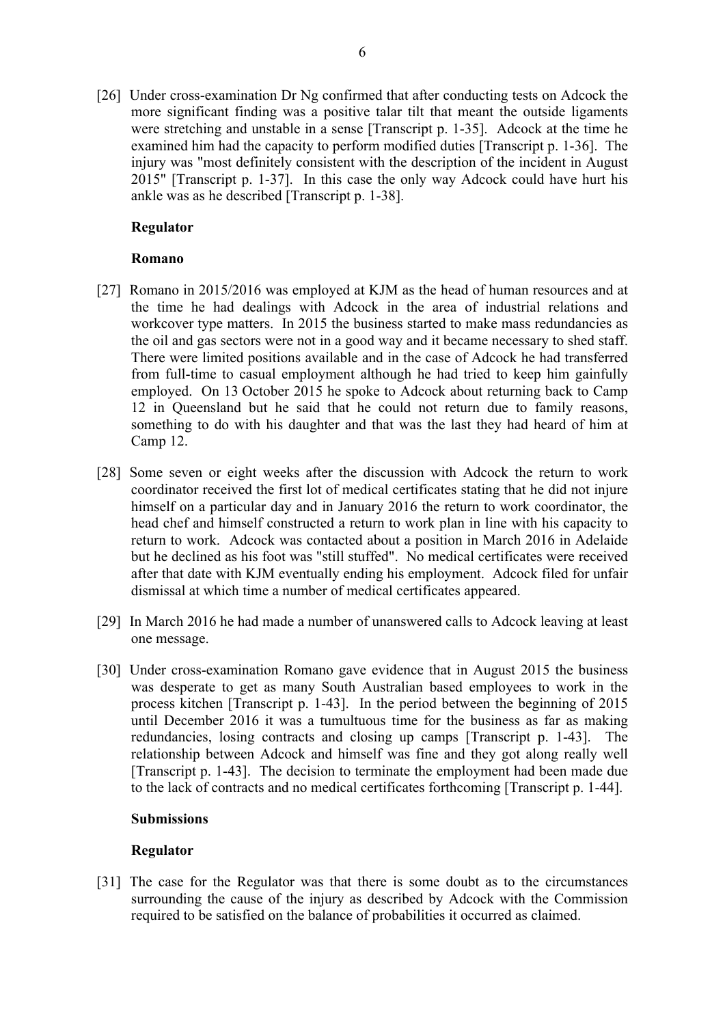[26] Under cross-examination Dr Ng confirmed that after conducting tests on Adcock the more significant finding was a positive talar tilt that meant the outside ligaments were stretching and unstable in a sense [Transcript p. 1-35]. Adcock at the time he examined him had the capacity to perform modified duties [Transcript p. 1-36]. The injury was "most definitely consistent with the description of the incident in August 2015" [Transcript p. 1-37]. In this case the only way Adcock could have hurt his ankle was as he described [Transcript p. 1-38].

# **Regulator**

# **Romano**

- [27] Romano in 2015/2016 was employed at KJM as the head of human resources and at the time he had dealings with Adcock in the area of industrial relations and workcover type matters. In 2015 the business started to make mass redundancies as the oil and gas sectors were not in a good way and it became necessary to shed staff. There were limited positions available and in the case of Adcock he had transferred from full-time to casual employment although he had tried to keep him gainfully employed. On 13 October 2015 he spoke to Adcock about returning back to Camp 12 in Queensland but he said that he could not return due to family reasons, something to do with his daughter and that was the last they had heard of him at Camp 12.
- [28] Some seven or eight weeks after the discussion with Adcock the return to work coordinator received the first lot of medical certificates stating that he did not injure himself on a particular day and in January 2016 the return to work coordinator, the head chef and himself constructed a return to work plan in line with his capacity to return to work. Adcock was contacted about a position in March 2016 in Adelaide but he declined as his foot was "still stuffed". No medical certificates were received after that date with KJM eventually ending his employment. Adcock filed for unfair dismissal at which time a number of medical certificates appeared.
- [29] In March 2016 he had made a number of unanswered calls to Adcock leaving at least one message.
- [30] Under cross-examination Romano gave evidence that in August 2015 the business was desperate to get as many South Australian based employees to work in the process kitchen [Transcript p. 1-43]. In the period between the beginning of 2015 until December 2016 it was a tumultuous time for the business as far as making redundancies, losing contracts and closing up camps [Transcript p. 1-43]. The relationship between Adcock and himself was fine and they got along really well [Transcript p. 1-43]. The decision to terminate the employment had been made due to the lack of contracts and no medical certificates forthcoming [Transcript p. 1-44].

#### **Submissions**

# **Regulator**

[31] The case for the Regulator was that there is some doubt as to the circumstances surrounding the cause of the injury as described by Adcock with the Commission required to be satisfied on the balance of probabilities it occurred as claimed.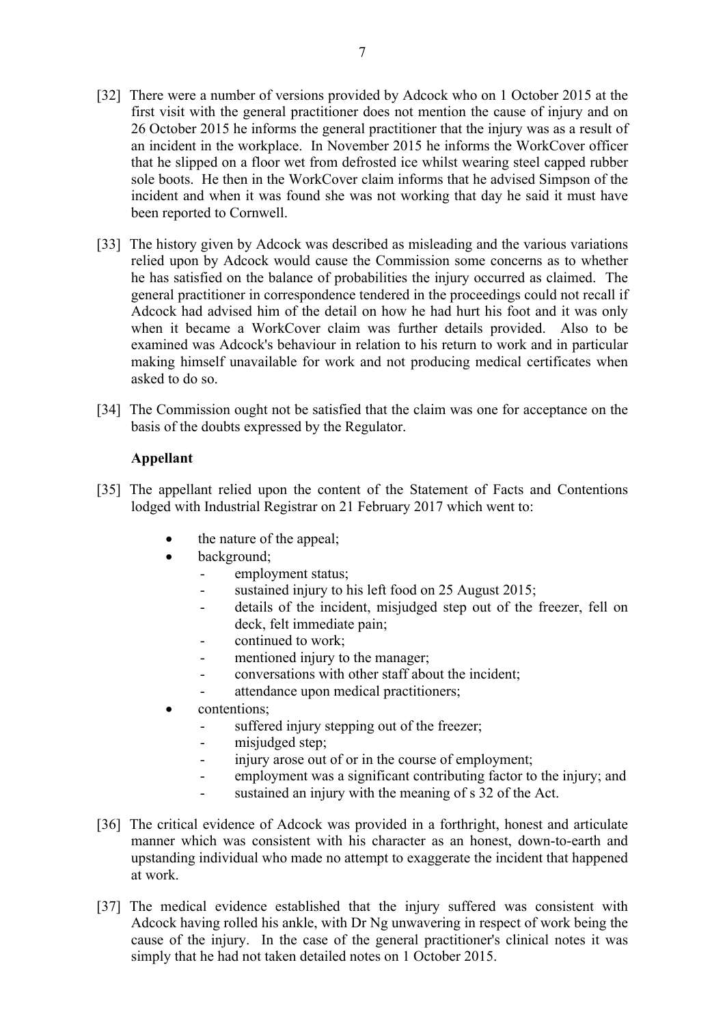- [32] There were a number of versions provided by Adcock who on 1 October 2015 at the first visit with the general practitioner does not mention the cause of injury and on 26 October 2015 he informs the general practitioner that the injury was as a result of an incident in the workplace. In November 2015 he informs the WorkCover officer that he slipped on a floor wet from defrosted ice whilst wearing steel capped rubber sole boots. He then in the WorkCover claim informs that he advised Simpson of the incident and when it was found she was not working that day he said it must have been reported to Cornwell.
- [33] The history given by Adcock was described as misleading and the various variations relied upon by Adcock would cause the Commission some concerns as to whether he has satisfied on the balance of probabilities the injury occurred as claimed. The general practitioner in correspondence tendered in the proceedings could not recall if Adcock had advised him of the detail on how he had hurt his foot and it was only when it became a WorkCover claim was further details provided. Also to be examined was Adcock's behaviour in relation to his return to work and in particular making himself unavailable for work and not producing medical certificates when asked to do so.
- [34] The Commission ought not be satisfied that the claim was one for acceptance on the basis of the doubts expressed by the Regulator.

## **Appellant**

- [35] The appellant relied upon the content of the Statement of Facts and Contentions lodged with Industrial Registrar on 21 February 2017 which went to:
	- the nature of the appeal;
	- background;
		- employment status;
		- sustained injury to his left food on 25 August 2015;
		- details of the incident, misjudged step out of the freezer, fell on deck, felt immediate pain;
		- continued to work;
		- mentioned injury to the manager;
		- conversations with other staff about the incident;
		- attendance upon medical practitioners;
	- contentions;
		- suffered injury stepping out of the freezer;
		- misjudged step;
		- injury arose out of or in the course of employment;
		- employment was a significant contributing factor to the injury; and
		- sustained an injury with the meaning of s 32 of the Act.
- [36] The critical evidence of Adcock was provided in a forthright, honest and articulate manner which was consistent with his character as an honest, down-to-earth and upstanding individual who made no attempt to exaggerate the incident that happened at work.
- [37] The medical evidence established that the injury suffered was consistent with Adcock having rolled his ankle, with Dr Ng unwavering in respect of work being the cause of the injury. In the case of the general practitioner's clinical notes it was simply that he had not taken detailed notes on 1 October 2015.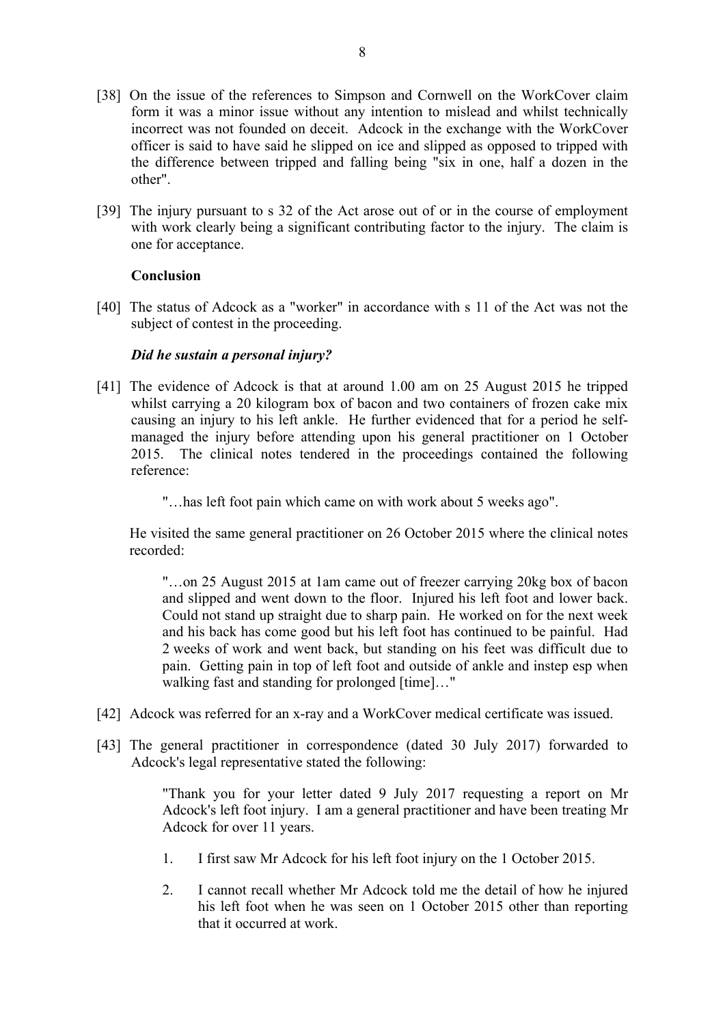- [38] On the issue of the references to Simpson and Cornwell on the WorkCover claim form it was a minor issue without any intention to mislead and whilst technically incorrect was not founded on deceit. Adcock in the exchange with the WorkCover officer is said to have said he slipped on ice and slipped as opposed to tripped with the difference between tripped and falling being "six in one, half a dozen in the other".
- [39] The injury pursuant to s 32 of the Act arose out of or in the course of employment with work clearly being a significant contributing factor to the injury. The claim is one for acceptance.

# **Conclusion**

[40] The status of Adcock as a "worker" in accordance with s 11 of the Act was not the subject of contest in the proceeding.

## *Did he sustain a personal injury?*

- [41] The evidence of Adcock is that at around 1.00 am on 25 August 2015 he tripped whilst carrying a 20 kilogram box of bacon and two containers of frozen cake mix causing an injury to his left ankle. He further evidenced that for a period he selfmanaged the injury before attending upon his general practitioner on 1 October 2015. The clinical notes tendered in the proceedings contained the following reference:
	- "…has left foot pain which came on with work about 5 weeks ago".

He visited the same general practitioner on 26 October 2015 where the clinical notes recorded:

"…on 25 August 2015 at 1am came out of freezer carrying 20kg box of bacon and slipped and went down to the floor. Injured his left foot and lower back. Could not stand up straight due to sharp pain. He worked on for the next week and his back has come good but his left foot has continued to be painful. Had 2 weeks of work and went back, but standing on his feet was difficult due to pain. Getting pain in top of left foot and outside of ankle and instep esp when walking fast and standing for prolonged [time]..."

- [42] Adcock was referred for an x-ray and a WorkCover medical certificate was issued.
- [43] The general practitioner in correspondence (dated 30 July 2017) forwarded to Adcock's legal representative stated the following:

"Thank you for your letter dated 9 July 2017 requesting a report on Mr Adcock's left foot injury. I am a general practitioner and have been treating Mr Adcock for over 11 years.

- 1. I first saw Mr Adcock for his left foot injury on the 1 October 2015.
- 2. I cannot recall whether Mr Adcock told me the detail of how he injured his left foot when he was seen on 1 October 2015 other than reporting that it occurred at work.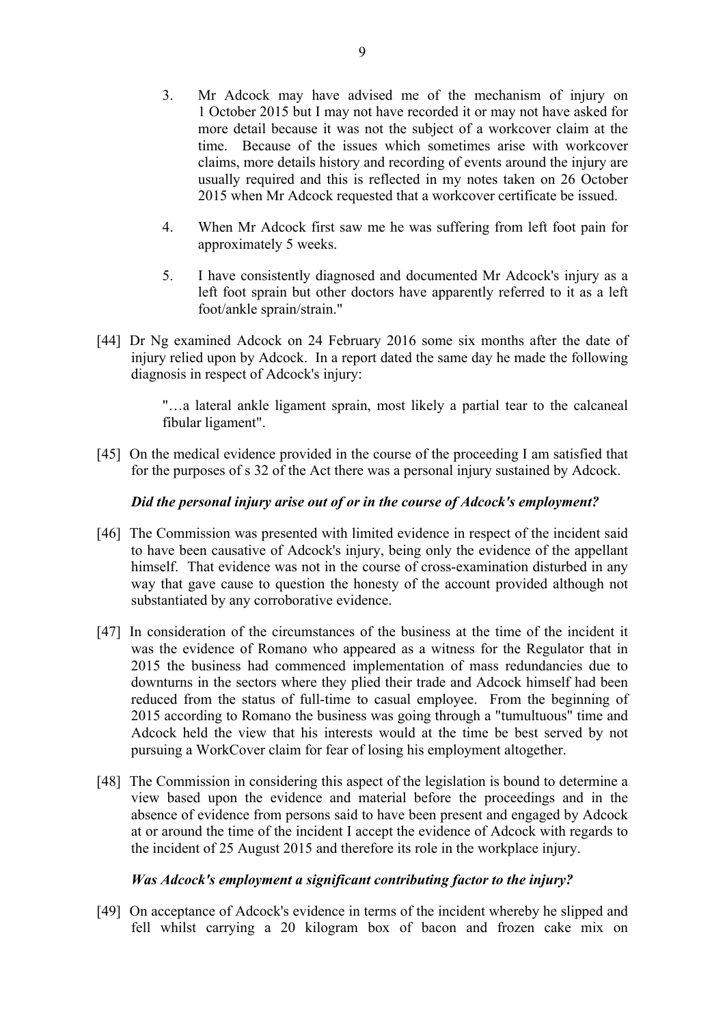- 3. Mr Adcock may have advised me of the mechanism of injury on 1 October 2015 but I may not have recorded it or may not have asked for more detail because it was not the subject of a workcover claim at the time. Because of the issues which sometimes arise with workcover claims, more details history and recording of events around the injury are usually required and this is reflected in my notes taken on 26 October 2015 when Mr Adcock requested that a workcover certificate be issued.
- 4. When Mr Adcock first saw me he was suffering from left foot pain for approximately 5 weeks.
- 5. I have consistently diagnosed and documented Mr Adcock's injury as a left foot sprain but other doctors have apparently referred to it as a left foot/ankle sprain/strain."
- [44] Dr Ng examined Adcock on 24 February 2016 some six months after the date of injury relied upon by Adcock. In a report dated the same day he made the following diagnosis in respect of Adcock's injury:

"…a lateral ankle ligament sprain, most likely a partial tear to the calcaneal fibular ligament".

[45] On the medical evidence provided in the course of the proceeding I am satisfied that for the purposes of s 32 of the Act there was a personal injury sustained by Adcock.

#### *Did the personal injury arise out of or in the course of Adcock's employment?*

- [46] The Commission was presented with limited evidence in respect of the incident said to have been causative of Adcock's injury, being only the evidence of the appellant himself. That evidence was not in the course of cross-examination disturbed in any way that gave cause to question the honesty of the account provided although not substantiated by any corroborative evidence.
- [47] In consideration of the circumstances of the business at the time of the incident it was the evidence of Romano who appeared as a witness for the Regulator that in 2015 the business had commenced implementation of mass redundancies due to downturns in the sectors where they plied their trade and Adcock himself had been reduced from the status of full-time to casual employee. From the beginning of 2015 according to Romano the business was going through a "tumultuous" time and Adcock held the view that his interests would at the time be best served by not pursuing a WorkCover claim for fear of losing his employment altogether.
- [48] The Commission in considering this aspect of the legislation is bound to determine a view based upon the evidence and material before the proceedings and in the absence of evidence from persons said to have been present and engaged by Adcock at or around the time of the incident I accept the evidence of Adcock with regards to the incident of 25 August 2015 and therefore its role in the workplace injury.

#### *Was Adcock's employment a significant contributing factor to the injury?*

[49] On acceptance of Adcock's evidence in terms of the incident whereby he slipped and fell whilst carrying a 20 kilogram box of bacon and frozen cake mix on